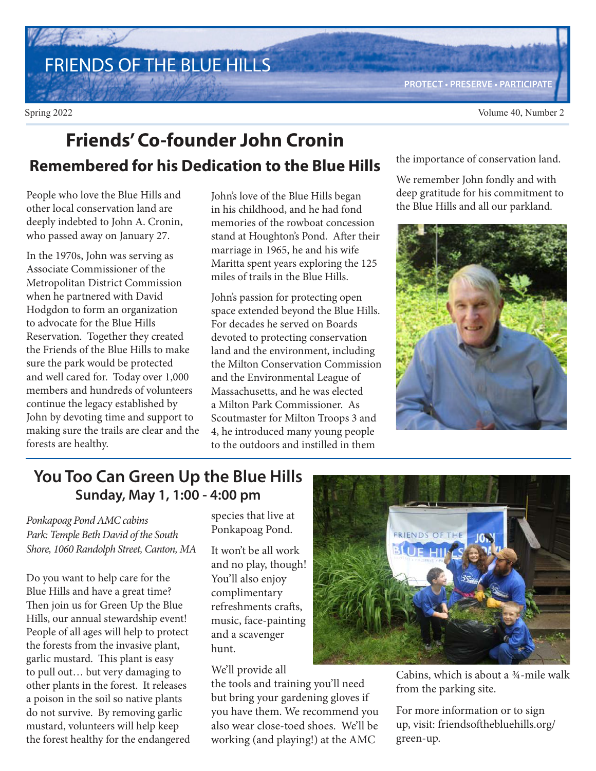FRIENDS OF THE BLUE HILLS

**PROTECT • PRESERVE • PARTICIPATE**

### **Friends' Co-founder John Cronin Remembered for his Dedication to the Blue Hills**

People who love the Blue Hills and other local conservation land are deeply indebted to John A. Cronin, who passed away on January 27.

In the 1970s, John was serving as Associate Commissioner of the Metropolitan District Commission when he partnered with David Hodgdon to form an organization to advocate for the Blue Hills Reservation. Together they created the Friends of the Blue Hills to make sure the park would be protected and well cared for. Today over 1,000 members and hundreds of volunteers continue the legacy established by John by devoting time and support to making sure the trails are clear and the forests are healthy.

John's love of the Blue Hills began in his childhood, and he had fond memories of the rowboat concession stand at Houghton's Pond. After their marriage in 1965, he and his wife Maritta spent years exploring the 125 miles of trails in the Blue Hills.

John's passion for protecting open space extended beyond the Blue Hills. For decades he served on Boards devoted to protecting conservation land and the environment, including the Milton Conservation Commission and the Environmental League of Massachusetts, and he was elected a Milton Park Commissioner. As Scoutmaster for Milton Troops 3 and 4, he introduced many young people to the outdoors and instilled in them

the importance of conservation land.

We remember John fondly and with deep gratitude for his commitment to the Blue Hills and all our parkland.



### **You Too Can Green Up the Blue Hills Sunday, May 1, 1:00 - 4:00 pm**

Ponkapoag Pond AMC cabins Park: Temple Beth David of the South Shore, 1060 Randolph Street, Canton, MA

Do you want to help care for the Blue Hills and have a great time? Then join us for Green Up the Blue Hills, our annual stewardship event! People of all ages will help to protect the forests from the invasive plant, garlic mustard. This plant is easy to pull out… but very damaging to other plants in the forest. It releases a poison in the soil so native plants do not survive. By removing garlic mustard, volunteers will help keep the forest healthy for the endangered species that live at Ponkapoag Pond.

It won't be all work and no play, though! You'll also enjoy complimentary refreshments crafts, music, face-painting and a scavenger hunt.

We'll provide all

the tools and training you'll need but bring your gardening gloves if you have them. We recommend you also wear close-toed shoes. We'll be working (and playing!) at the AMC



Cabins, which is about a ¾-mile walk from the parking site.

For more information or to sign up, visit: friendsofthebluehills.org/ green-up.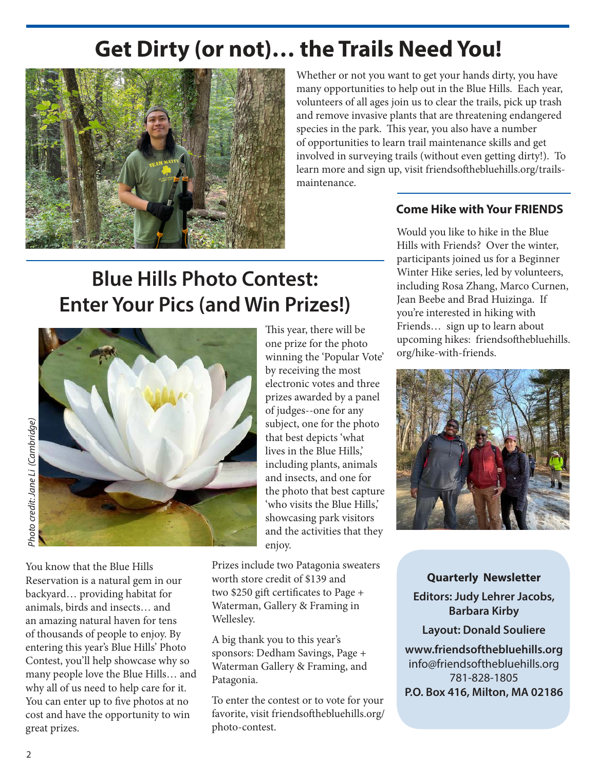# **Get Dirty (or not)… the Trails Need You!**



Whether or not you want to get your hands dirty, you have many opportunities to help out in the Blue Hills. Each year, volunteers of all ages join us to clear the trails, pick up trash and remove invasive plants that are threatening endangered species in the park. This year, you also have a number of opportunities to learn trail maintenance skills and get involved in surveying trails (without even getting dirty!). To learn more and sign up, visit friendsofthebluehills.org/trailsmaintenance.

#### **Come Hike with Your FRIENDS**

Would you like to hike in the Blue Hills with Friends? Over the winter, participants joined us for a Beginner Winter Hike series, led by volunteers, including Rosa Zhang, Marco Curnen, Jean Beebe and Brad Huizinga. If you're interested in hiking with Friends… sign up to learn about upcoming hikes: friendsofthebluehills. org/hike-with-friends.



#### **Quarterly Newsletter**

**Editors: Judy Lehrer Jacobs, Barbara Kirby**

**Layout: Donald Souliere**

**www.friendsofthebluehills.org**  info@friendsofthebluehills.org 781-828-1805 **P.O. Box 416, Milton, MA 02186**

## **Blue Hills Photo Contest: Enter Your Pics (and Win Prizes!)**



abelia core core and core who core and who core and who core and who core and who core and who core a You know that the Blue Hills Reservation is a natural gem in our backyard… providing habitat for animals, birds and insects… and an amazing natural haven for tens of thousands of people to enjoy. By entering this year's Blue Hills' Photo Contest, you'll help showcase why so many people love the Blue Hills… and why all of us need to help care for it. You can enter up to five photos at no cost and have the opportunity to win great prizes.

This year, there will be one prize for the photo winning the 'Popular Vote' by receiving the most electronic votes and three prizes awarded by a panel of judges--one for any subject, one for the photo that best depicts 'what lives in the Blue Hills,' including plants, animals and insects, and one for the photo that best capture 'who visits the Blue Hills,' showcasing park visitors and the activities that they enjoy.

Prizes include two Patagonia sweaters worth store credit of \$139 and two \$250 gift certificates to Page + Waterman, Gallery & Framing in Wellesley.

A big thank you to this year's sponsors: Dedham Savings, Page + Waterman Gallery & Framing, and Patagonia.

To enter the contest or to vote for your favorite, visit friendsofthebluehills.org/ photo-contest.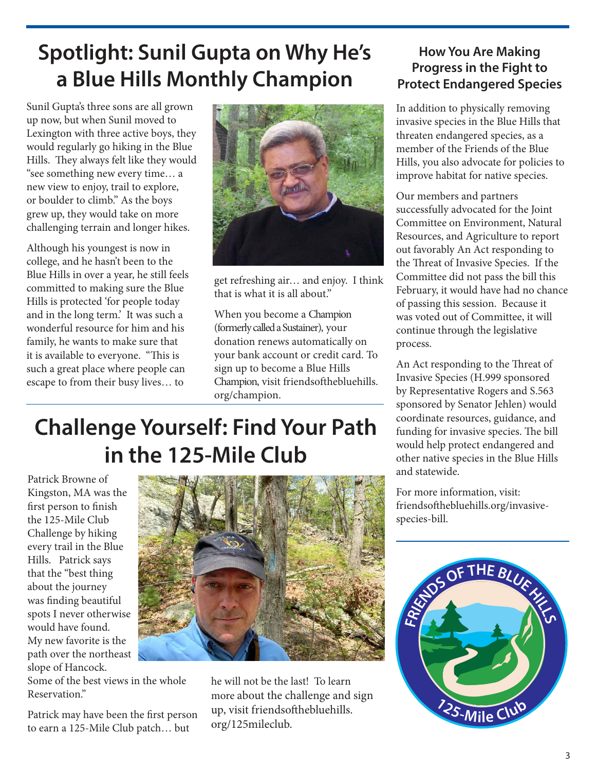## **Spotlight: Sunil Gupta on Why He's a Blue Hills Monthly Champion**

Sunil Gupta's three sons are all grown up now, but when Sunil moved to Lexington with three active boys, they would regularly go hiking in the Blue Hills. They always felt like they would "see something new every time… a new view to enjoy, trail to explore, or boulder to climb." As the boys grew up, they would take on more challenging terrain and longer hikes.

Although his youngest is now in college, and he hasn't been to the Blue Hills in over a year, he still feels committed to making sure the Blue Hills is protected 'for people today and in the long term.' It was such a wonderful resource for him and his family, he wants to make sure that it is available to everyone. "This is such a great place where people can escape to from their busy lives… to



get refreshing air… and enjoy. I think that is what it is all about."

When you become a Champion (formerly called a Sustainer), your donation renews automatically on your bank account or credit card. To sign up to become a Blue Hills Champion, visit friendsofthebluehills. org/champion.

#### **How You Are Making Progress in the Fight to Protect Endangered Species**

In addition to physically removing invasive species in the Blue Hills that threaten endangered species, as a member of the Friends of the Blue Hills, you also advocate for policies to improve habitat for native species.

Our members and partners successfully advocated for the Joint Committee on Environment, Natural Resources, and Agriculture to report out favorably An Act responding to the Threat of Invasive Species. If the Committee did not pass the bill this February, it would have had no chance of passing this session. Because it was voted out of Committee, it will continue through the legislative process.

An Act responding to the Threat of Invasive Species (H.999 sponsored by Representative Rogers and S.563 sponsored by Senator Jehlen) would coordinate resources, guidance, and funding for invasive species. The bill would help protect endangered and other native species in the Blue Hills and statewide.

For more information, visit: friendsofthebluehills.org/invasivespecies-bill.



# **Challenge Yourself: Find Your Path in the 125-Mile Club**

Patrick Browne of Kingston, MA was the first person to finish the 125-Mile Club Challenge by hiking every trail in the Blue Hills. Patrick says that the "best thing about the journey was finding beautiful spots I never otherwise would have found. My new favorite is the path over the northeast slope of Hancock.

Some of the best views in the whole Reservation."

Patrick may have been the first person to earn a 125-Mile Club patch… but



he will not be the last! To learn more about the challenge and sign up, visit friendsofthebluehills. org/125mileclub.